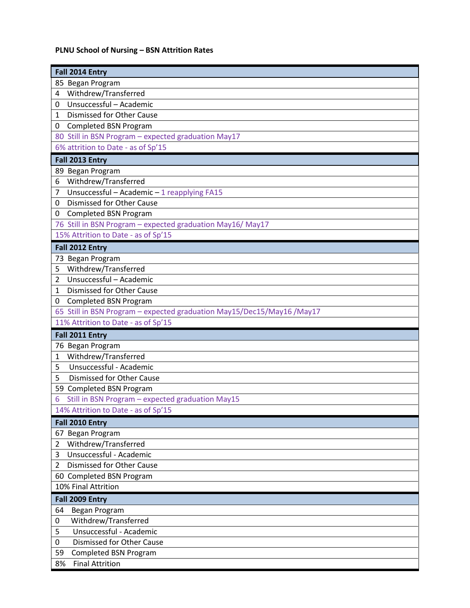## **PLNU School of Nursing – BSN Attrition Rates**

| Fall 2014 Entry                                                        |
|------------------------------------------------------------------------|
| 85 Began Program                                                       |
| Withdrew/Transferred<br>4                                              |
| Unsuccessful - Academic<br>0                                           |
| Dismissed for Other Cause<br>1                                         |
| Completed BSN Program<br>0                                             |
| 80 Still in BSN Program - expected graduation May17                    |
| 6% attrition to Date - as of Sp'15                                     |
| Fall 2013 Entry                                                        |
| 89 Began Program                                                       |
| Withdrew/Transferred<br>6                                              |
| Unsuccessful - Academic - 1 reapplying FA15<br>7                       |
| Dismissed for Other Cause<br>0                                         |
| Completed BSN Program<br>0                                             |
| 76 Still in BSN Program - expected graduation May16/ May17             |
| 15% Attrition to Date - as of Sp'15                                    |
| Fall 2012 Entry                                                        |
| 73 Began Program                                                       |
| Withdrew/Transferred<br>5                                              |
| Unsuccessful - Academic<br>$\overline{2}$                              |
| Dismissed for Other Cause<br>1                                         |
| Completed BSN Program<br>0                                             |
| 65 Still in BSN Program - expected graduation May15/Dec15/May16 /May17 |
| 11% Attrition to Date - as of Sp'15                                    |
| Fall 2011 Entry                                                        |
|                                                                        |
| 76 Began Program                                                       |
| Withdrew/Transferred<br>1                                              |
| Unsuccessful - Academic<br>5                                           |
| Dismissed for Other Cause<br>5                                         |
| 59 Completed BSN Program                                               |
| Still in BSN Program - expected graduation May15<br>6                  |
| 14% Attrition to Date - as of Sp'15                                    |
| Fall 2010 Entry                                                        |
| 67 Began Program                                                       |
| Withdrew/Transferred<br>2                                              |
| Unsuccessful - Academic<br>3                                           |
| Dismissed for Other Cause<br>2                                         |
| 60 Completed BSN Program                                               |
| 10% Final Attrition                                                    |
| Fall 2009 Entry                                                        |
| 64<br>Began Program                                                    |
| Withdrew/Transferred<br>0                                              |
| Unsuccessful - Academic<br>5                                           |
| Dismissed for Other Cause<br>0                                         |
| 59<br>Completed BSN Program<br><b>Final Attrition</b><br>8%            |